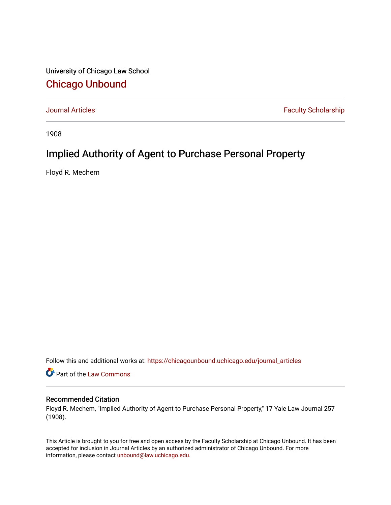University of Chicago Law School [Chicago Unbound](https://chicagounbound.uchicago.edu/)

[Journal Articles](https://chicagounbound.uchicago.edu/journal_articles) **Faculty Scholarship Faculty Scholarship** 

1908

# Implied Authority of Agent to Purchase Personal Property

Floyd R. Mechem

Follow this and additional works at: [https://chicagounbound.uchicago.edu/journal\\_articles](https://chicagounbound.uchicago.edu/journal_articles?utm_source=chicagounbound.uchicago.edu%2Fjournal_articles%2F9163&utm_medium=PDF&utm_campaign=PDFCoverPages) 

Part of the [Law Commons](http://network.bepress.com/hgg/discipline/578?utm_source=chicagounbound.uchicago.edu%2Fjournal_articles%2F9163&utm_medium=PDF&utm_campaign=PDFCoverPages)

## Recommended Citation

Floyd R. Mechem, "Implied Authority of Agent to Purchase Personal Property," 17 Yale Law Journal 257 (1908).

This Article is brought to you for free and open access by the Faculty Scholarship at Chicago Unbound. It has been accepted for inclusion in Journal Articles by an authorized administrator of Chicago Unbound. For more information, please contact [unbound@law.uchicago.edu](mailto:unbound@law.uchicago.edu).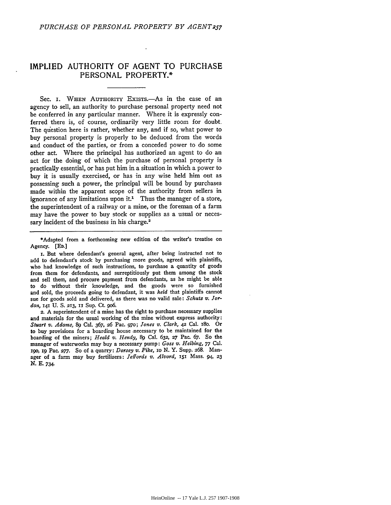# IMPLIED AUTHORITY OF **AGENT** TO **PURCHASE PERSONAL** PROPERTY.\*

Sec. I. WHEN AUTHORITY EXISTS.-As in the case of an agency to sell, an authority to purchase personal property need not be conferred in any particular manner. Where it is expressly conferred there is, of course, ordinarily very little room for doubt. The question here is rather, whether any, and if so, what power to buy personal property is properly to be deduced from the words and conduct **of** the parties, or from a conceded power to do some other act. Where the principal has authorized an agent to do an act for the doing of which the purchase of personal property is practically essential, or has put him in a situation in which a power to buy it is usually exercised, or has in any wise held him out as possessing such a power, the principal will be bound by purchases made within the apparent scope of the authority from sellers in ignorance of any limitations upon it.<sup>1</sup> Thus the manager of a store, the superintendent of a railway or a mine, or the foreman of a farm may have the power to buy stock or supplies as a usual or necessary incident of the business in his charge.<sup>2</sup>

\*Adapted from a forthcoming new edition of the writer's treatise on Agency. **[ED.]**

**I.** But where defendant's general agent, after being instructed not to add to defendant's stock by purchasing more goods, agreed with plaintiffs, who had knowledge of such instructions, to purchase a quantity of goods from them for defendants, and surreptitiously put them among the stock and sell them, and procure payment from defendants, as he might be able to do without their knowledge, and the goods were so furnished and sold, the proceeds going to defendant, it was *held* that plaintiffs cannot sue for goods sold and delivered, as there was no valid sale: *Schutz v. Jordan,* **I41** U. **S.** 213, **1I** Sup. Ct. 9o6.

2. A superintendent of a mine has the right to purchase necessary supplies and materials for the usual working of the mine without express authority: *Stuart v. Adams,* 89 Cal. 367, 26 Pac. **970;** *Jones v. Clark,* 42 Cal. xSo. Or to buy provisions for a boarding house .necessary to be maintained for the boarding of the miners; *Heald v. Hendy,* 89 Cal. **632, 27** Pac. 67. So the manager of waterworks may buy a necessary pump: *Goss v. Helbing, 77* Cal. i9o, **19** Pac. **277.** So of a quarry: *Dorsey v. Pike, io* N. Y. Supp. 268. Manager of a farm may buy fertilizers: *Jeffords v. Alvord,* **15I** Mass. 94, **23** N. E. 734.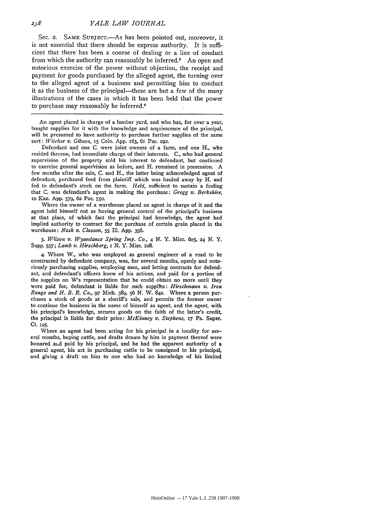Sec. 2. SAME SUBJECT.-As has been pointed out, moreover, it is not essential that there should be express authority. It is sufficient that there has been a course of dealing or a line of conduct from which the authority can reasonably be inferred.<sup>3</sup> An open and notorious exercise of the power without objection, the receipt and payment for goods purchased by the alleged agent, the turning over to the alleged agent of a business and permitting him to conduct it as the business of the principal—these are but a few of the many illustrations of the cases in which it has been held that the power to purchase may reasonably be inferred.4

An agent placed in charge of a lumber yard, and who has, for over a year, bought supplies for it with the knowledge and acquiescence of the principal, will be presumed to have authority to purchase further supplies of the same sort: *Witcher v. Gibson,* **I5** Colo. App. 163, 6i Pac. 292.

Defendant and one C. were joint owners of a farm, and one H., who resided thereon, had immediate charge of their interests. C., who had general supervision of the property sold his interest to defendant, but continued to exercise general supervision as before, and H. remained in possession. A few months after the sale, C. and H., the latter being acknowledged agent of defendant, purchased feed from plaintiff which was hauled away by H. and fed to defendant's stock on the farm. *Held,* sufficient to sustain a finding that C. was defendant's agent in making the purchase: *Gregg v. Berkshire,* io Kan. App. 579, 62 Pac. 55o.

Where the owner of a warehouse placed an agent in charge of it and the agent held himself out as having general control of the principal's business at that place, of which fact the principal had knowledge, the agent had implied authority to contract for the purchase of certain grain placed in the warehouse: *Nash v. Classon,* **55** Ill. **App.** 356.

*3. Wilson v. Wyandance Spring Imp. Co.,* 4 N. Y. Misc. 6o5, 24 N. Y. Supp. 557; *Lamb v. Hirschberg,* **i** N. Y. Misc. io8.

4. Where W., who was employed as general engineer of a road to be constructed by defendant company, was, for several months, openly and notoriously purchasing supplies, employing men, and letting contracts for defendant, and defendant's officers knew of his actions, and paid for a portion of the supplies on W's representation that he could obtain no more until they were paid for, defendant is liable for such supplies: *Hirschmann v. Iron Range and H. B. R. Co.,* 97 Mich. 384, **56** N. W. 842. Where a person purchases a stock of goods at a sheriff's sale, and permits the former owner to continue the business in the name of himself as agent, and the agent, with his principal's knowledge, secures goods on the faith of the latter's credit, the principal is liable for their price: *McKinney v. Stephens, I7* Pa. Super. Ct. **125.**

Where an agent had been acting for his principal in a locality for several months, buying cattle, and drafts drawn by him in payment thereof were honored aid paid by his principal, and he had the apparent authority of a general agent, his act in purchasing cattle to be consigned to his principal, and giving a draft on him to one who had no knowledge of his limited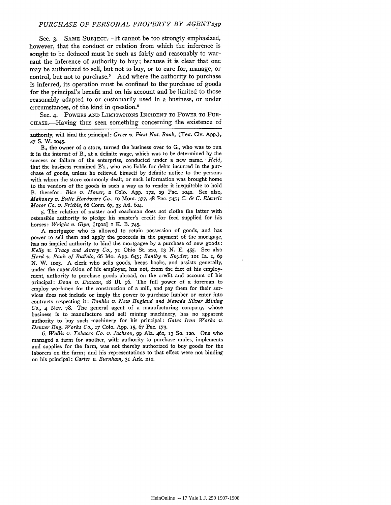Sec. 3. SAME SUBJECT.—It cannot be too strongly emphasized, however, that the conduct or relation from which the inference is sought to be deduced must be such as fairly and reasonably to warrant the inference of authority to buy; because it is clear that one may be authorized to sell, but not to buy, or to care for, manage, or control, but not to purchase.<sup>5</sup> And where the authority to purchase is inferred, its operation must be confined to the purchase of goods for the principal's benefit and on his account and be limited to those reasonably adapted to or customarily used in a business, or under circumstances, of the kind in question.<sup>6</sup>

Sec. 4. POWERS AND LIMITATIONS INCIDENT TO POWER TO PUR-CHASE.-Having thus seen something concerning the existence of

authority, will bind the principal: *Greer v. First Nat. Bank,* (Tex. Civ. App.), 47 **S.** W. **1045.**

B., the owner of a store, turned the business over to G., who was to run it in the interest of B., at a definite wage, which was to be determined by the success or failure of the enterprise, conducted under a new name. *Held,* that the business remained B's., who was liable for debts incurred in the purchase of goods, unless he relieved himself by definite notice to the persons with whom the store commonly dealt, or such information was brought home to the vendors of the goods in such a way as to render it inequitable to hold B. therefor: *Bice v. Hover*, 2 Colo. App. 172, 29 Pac. 1042. See also, *Mahoney v. Butte Hardware Co.,* **19** Mont. 377, 48 Pac. 545; *C.* **&** *C. Electric Motor Co. v. Frisbie,* 66 Conn. 67, 33 AtI. 6o4.

**5.** The relation of master and coachman does not clothe the latter with ostensible authority to pledge his master's credit for feed supplied for his horses: *Wright v. Glyn,* [1902] **I** K. B. 745.

A mortgagor who is allowed to retain possession of goods, and has power to sell them and apply the proceeds in the payment of the mortgage, has no implied authority to bind the mortgagee by a purchase of new goods: *Kelly v. Tracy and Avery Co.,* 71 Ohio St. 220, **13** N. E. 455. See also *Herd v. Bank of Buffalo,* 66 Mo. App. 643; *Bentby v. Snyder*, *IOI* Ia. 1, 69 N. W. 1O23. A clerk who sells goods, keeps books, and assists generally, under the supervision of his employer, has not, from the fact of his employment, authority to purchase goods abroad, on the credit and account of his principal: *Doan v. Duncan,* 18 Ill. **96.** The full power of a foreman to employ workmen for the construction of a mill, and pay them for their services does not include or imply the power to purchase lumber or enter into contracts respecting it: *Rankin v. New England and Nevada Silver Mining Co.,* 4 Nev. 78. The general agent of a manufacturing company, whose business is to manufacture and sell mining machinery, has no apparent authority to buy such machinery for his principal: *Gates Iron Works v. Denver Eng. Works Co.,* **17** Colo. App. 15, 67 Pac. 173.

*6. Wallis v. Tobacco Co. v. Jackson, 99* Ala. 46o, **13** So. 120. One who managed a farm for another, with authority to purchase mules, implements and supplies for the farm, was not thereby authorized to buy goods for the laborers on the farm; and his representations to that effect were not binding on his principal: *Carter v. Burnham,* 31 Ark. 212.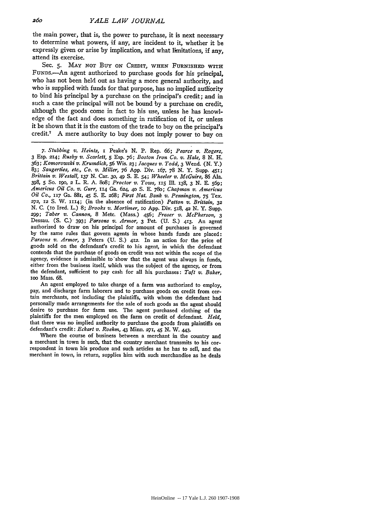the main power, that is, the power to purchase, it is next necessary to determine what powers, if any, are incident to it, whether it be expressly given or arise by implication, and what limitations, if any, attend its exercise.

Sec. **5.** MAY **NOT Buy** ON CREDIT, **WHEN** FURNISHED WITH FUNDS.---An agent authorized to purchase goods for his principal. who has not been held out as having a more general authority, and who is supplied with funds for that purpose, has no implied authority to bind his principal by a purchase on the principal's credit; and in such a case the principal will not be bound **by** a purchase on credit, although the goods come in fact to his use, unless he has knowledge of the fact and does something in ratification of it, or unless it be shown that it is the custom of the trade to buy on the principal's credit.<sup>7</sup> A mere authority to buy does not imply nower to buy on A mere authority to buy does not imply power to buy on

An agent employed to take charge of a farm was authorized to employ, pay, and discharge farm laborers and to purchase goods on credit from cer- tain merchants, not including the plaintiffs, with whom the defendant had personally made arrangements for the sale of such goods as the agent should desire to purchase for farm use. The agent purchased clothing of the plaintiffs for the men employed on the farm on credit of defendant. *Held,* that there was no implied authority to purchase the goods from plaintiffs on defendant's credit: *Eckart v. Roehm,* 43 Minn. **271,** 45 **N.** W. **443.**

Where the course of business between a merchant in the country and a merchant in town is such, that the country merchant transmits to his correspondent in town his produce and such articles as he has to sell, and the merchant in town, in return, supplies him with such merchandise as he deals

*<sup>7.</sup> Stubbing v. Heintz,* i Peake's N. P. Rep. *66; Pearce v. Rogers,* 3 Esp. 214; *Rusby v. Scarlett,* 5 Esp. *76; Boston Iron Co. v. Hale, 8 N.* H. 363; *Komorowski v. Kruindick,* **56** Wis. **23;** *Jacques v. Todd,* 3 Wend. **(N.** Y.) 83; *Saugerties, etc., Co. v. Miller,* 76 **App.** Div. 167, 78 N. Y. Supp. 451; *Brittain v. Westall, 137* N. Car. **30,** 49 **S.** E. 54; *Wheeler v. McGuire, 86* Ala. 398, 5 So. **19o,** 2 L. R. A. 8o8; *Proctor v. Tows,* 115 Ill. 138, 3 N. E. **569;** *Americus Oil Co. v. Gurr,* 114 Ga. 624, 4o **S.** E. 780; *Chapman v. Americus Oil Co., 117* Ga. 88r, 45 S. E. 268; *First Nat. Bank v. Pennington, 75* Tex. **272,** 12 **S.** W. 1114; (in the absence of ratification) *Patton v. Brittain,* **32** N. C. (Io Ired. L.) 8; *Brooks v. Mortimer,* io **App.** Div. 518, *42* N. Y. Supp. *29; Taber v. Cannon,* 8 Metc. (Mass.) 456; *Fraser v. McPherson, <sup>3</sup>* Dessau. (S. C.) **393;** *Parsons v. Armor,* 3 Pet. (U. S.) 413. An agent authorized to draw on his principal for amount of purchases is governed by the same rules that govern agents in whose hands funds are placed: *Parsons v. Armor,* 3 Peters (U. **S.)** 412. In an action for the price of goods sold on the defendant's credit to his agent, in which the defendant contends that the purchase of goods on credit was not within the scope of the agency, evidence is admissible to'show that the agent was always in funds, either from the business itself, which was the subject of the agency, or from the defendant, sufficient to pay cash for all his purchases: *Taft v. Baker,* ioo Mass. 68.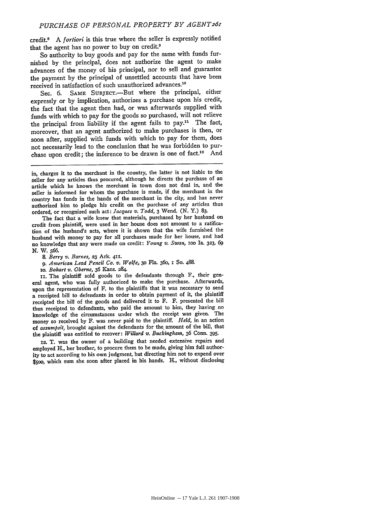credit.8 A *fortiori* is this true where the seller is expressly notified that the agent has no power to buy on credit.<sup>9</sup>

So authority to buy goods and pay for the same with funds furnished by the principal, does not authorize the agent to make advances of the money of his principal, nor to sell and guarantee the payment by the principal of unsettled accounts that have been received in satisfaction of such unauthorized advances.<sup>10</sup>

Sec. 6. SAME SUBJECT.-But where the principal, either expressly or by implication, authorizes a purchase upon his credit, the fact that the agent then had, or was afterwards supplied with funds with which to pay for the goods so purchased, will not relieve the principal from liability if the agent fails to pay." The fact, moreover, that an agent authorized to make purchases is then, or soon after, supplied with funds with which to pay for them, does not necessarily lead to the conclusion that he was forbidden to purchase upon credit; the inference to be drawn is one of fact.<sup>12</sup> And

in, charges it to the merchant in the country, the latter is not liable to the seller for any articles thus procured, although he directs the purchase of an article which he knows the merchant in town does not deal in, and the seller is informed for whom the purchase is made, if the merchant in the country has funds in the hands of the merchant in the city, and has never authorized him to pledge his credit on the purchase of any articles thus ordered, or recognized such act: *Jacques v. Todd,* 3 Wend. (N. Y.) 83.

The fact that a wife knew that materials, purchased by her husband on credit from plaintiff, were used in her house does not amount to a ratification of the husband's acts, where it is shown that the wife furnished the husband with money to pay for all purchases made for her house, and had no knowledge that any were made on credit: *Young v. Swan,* ioo Ia. **323,** *<sup>69</sup>* N. W. *566.*

- *8. Berry v. Barnes,* **23** Ark. **411.**
- *9. American Lead Pencil Co. v. Wolfe,* **30** Fla. 360, i So. 488.
- *io. Bohart v. Oberne,* 36 Kans. 284.

**ii.** The plaintiff sold goods to the defendants through F., their general agent, who was fully authorized to make the purchase. Afterwards, upon the representation of F. to the plaintiffs that it was necessary to send a receipted bill to defendants in order to obtain payment of it, the plaintiff receipted the bill of the goods and delivered it to F. F. presented the bill thus receipted to defendants, who paid the amount to him, they having no knowledge of the circumstances under whch the receipt was given. The money so received by F. was never paid to the plaintiff. *Held,* in an action of *assumpsit,* brought against the defendants for the amount of the bill, that the plaintiff was entitled to recover: *Willard v. Buckinghan,* 36 Conn. 395.

**12.** T. was the owner of a building that needed extensive repairs and employed H., her brother, to procure them to be made, giving him full authority to act according to his own judgment, but directing him not to expend over \$5oo, which sum she soon after placed in his hands. H., without disclosing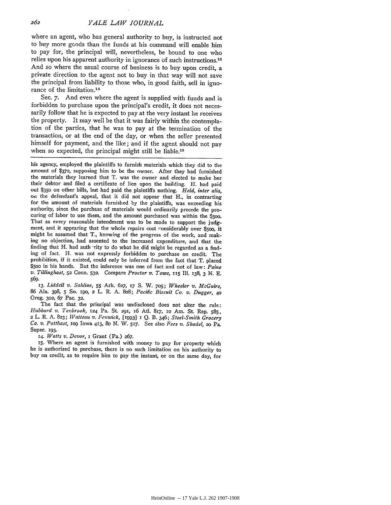where an agent, who has general authority to buy, is instructed not to buy more goods than the funds at his command will enable him to pay for, the principal will, nevertheless, be bound to one who relies upon his apparent authority in ignorance of such instructions." And so where the usual course of business is to buy upon credit, a private direction to the agent not to buy in that way will not save the principal from liability to those who, in good faith, sell in ignorance of the limitation. <sup>14</sup>

Sec. **7.** And even where the agent is supplied with funds and is forbidden to purchase upon the principal's credit, it does not necessarily follow that he is expected to pay at the very instant he receives the property. It may well be that it was fairly within the contemplation of the parties, that he was to pay at the termination of the transaction, or at the end of the day, or when the seller presented himself for payment, and the like; and if the agent should not pay when so expected, the principal might still be liable.<sup>15</sup>

his agency, employed the plaintiffs to furnish materials which they did to the amount of **\$372,** supposing him to be the owner. After they had furnished the materials they learned that T. was the owner and elected to make her their debtor and filed a certificate of lien upon the building. H. had paid out \$35o on other bills, but had paid the plaintiffs nothing. *Held, inter alia,* oai the defendant's appeal, that it did not appear that H., in contracting for the amount of materials furnished by the plaintiffs, was exceeding his authority, since the purchase of materials would ordinarily precede the procuring of labor to use them, and the amount purchased was within the \$5oo. That as every reasonable intendment was to be made to support the judgment, and it appearing that the whole repairs cost ronsiderably over **\$500,** it might be assumed that T., knowing of the progress of the work, and making no objection, had assented to the increased expenditure, and that the finding that H. had auth rity to do what he did might be regarded as a finding of fact. H. was not expressly forbidden to purchase on credit. The prohibition, if it existed, could only be inferred from the fact that T. placed \$5oo in his hands. But the inference was one of fact and not of law: *Paine v. Tillinghast,* 52 Conn. **532.** Compare *Proctor v. Tows,* **I15** Ill. 138, 3 **N. E. 569.**

**13.** *Liddell v. Sahline,* **55** Ark. **627, 17 S.** W. **705;** *Wheeler v. McGuire,* **86** Ala. **398, 5 So.** 19o, 2 L. R. **A. 8o8;** *Pacific Biscuit Co. v. Dugger, 4o* Oreg. **302, 67** Pac. **32.**

The fact that the principal was undisclosed does not alter the rule: *Hubbard v. Tenbrook,* 124 Pa. St. 291, 16 At. 817, **IO** Am. **St.** Rep. **585, 2** L. R. **A.** 823; *Watteau v. Fenwick,* **[1993] I Q.** B. 346; *Steel-Smith Grocery Co. v. Potthast, 1O9* Iowa **413, 80** N. W. **517.** See also *Fees v. Shadel, 2o* Pa. Super. 193.

14. *Watts v. Devor,* i Grant (Pa.) *267.*

**15.** Where an agent is furnished with money to pay for property which he is authorized to purchase, there is no such limitation on his authority to buy on credit, as to require him to pay the instant, or on the same day, for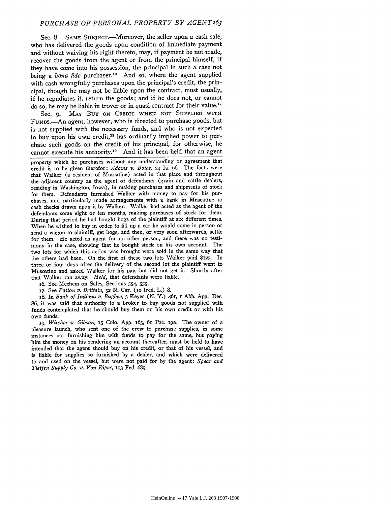Sec. 8. SAME SUBJECT.-Moreover, the seller upon a cash sale, who has delivered the goods upon condition of immediate payment and without waiving his right thereto, may, if payment be not made, recover the goods from the agent or from the principal himself, if they have come into his possession, the principal in such a case not being a *bona fide* purchaser.<sup>16</sup> And so, where the agent supplied with cash wrongfully purchases upon the principal's credit, the principal, though he may not be liable upon the contract, must usually, if he repudiates it, return the goods; and if he does not, or cannot do so, he may be liable in trover or in quasi contract for their value.<sup>17</sup>

Sec. **9.** MAY Buy ON CREDIT WHEN NOT SUPPLIED WITH FUNDS.-An agent, however, who is directed to purchase goods, but is not supplied with the necessary funds, and who is not expected to buy upon his own credit,<sup>18</sup> has ordinarily implied power to purchase such goods on the credit of his principal, for otherwise, he cannot execute his authority.<sup>19</sup> And it has been held that an agent

property which he purchases without any understanding or agreement that credit is to be given therefor: *Adams v. Boies,* 24 Ia. 96. The facts were that Walker (a resident of Muscatine) acted in that place and throughout the adjacent country as the agent of defendants (grain and cattle dealers, residing in Washington, Iowa), in making purchases and shipments of stock for them. Defendants furnished Walker with money to pay for his purchases, and particularly made arrangements with a bank in Muscatine to cash checks drawn upon it by Walker. Walker had acted as the agent of the defendants some eight or ten months, making purchases of stock for them. During that period he had bought hogs of the plaintiff at six different times. When he wished to buy in order to fill up a car he would come in person or send a wagon to plaintiff, get hogs, and then, or very soon afterwards, settle for them. He acted as agent for no other person, and there was no testimony in the case, showing that he bought stock on his own account. The two lots for which this action was brought were sold in the same way that the others had been. On the first of these two lots Walker paid \$125. In three or four days after the delivery of the second lot the plaintiff went to Muscatine and asked Walker for his pay, but did not get it. Shortly after that Walker ran away. *Held,* that defendants were liable.

16. See Mechem on Sales, Sections 554, 555.

**17.** See *Patton v. Brittain, 32* N. Car. (IO Ired. L.) **8.**

18. In *Bank of Indiana v. Bugbee,* 3 Keyes (N. Y.) 461, **I** Abb. App. Dec. **86,** it was said that authority to a broker to buy goods not supplied with funds contemplated that he should buy them on his own credit or with his own funds.

**19.** *Witcher v. Gibson,* **15** Colo. App. 163, 61 Pac. 192. The owner of a pleasure launch, who sent one of the crew to purchase supplies, in some instances not furnishing him with funds to pay for the same, but paying him the money on his rendering an account thereafter, must be held to have intended that the agent should buy on his credit, or that of his vessel, and is liable for supplies so furnished by a dealer, and which were delivered to and used on the vessel, but were not paid for by the agent: *Spear and Tietien Supply Co. v. Van Riper,* **io3** Fed. **689.**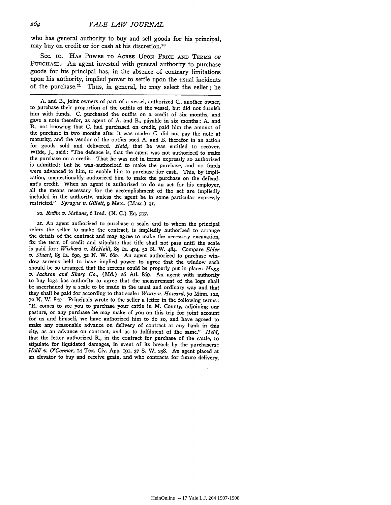who has general authority to buy and sell goods for his principal, may buy on credit or for cash at his discretion.<sup>20</sup>

Sec. 10. HAS POWER TO AGREE UPON PRICE AND TERMS OF PURCHASE.-An agent invested with general authority to purchase goods for his principal has, in the absence of contrary limitations upon his authority, implied power to settle upon the usual incidents of the purchase. 21 Thus, in general, he may select the seller; he

#### 2o. *Ruffin v. Mebane,* 6 Ired. **(N. C.) Eq. 5o7.**

21. An agent authorized to purchase a scale, and to whom the principal refers the seller to make the contract, is impliedly authorized to arrange the details of the contract and may agree to make the necessary excavation, fix the term of credit and stipulate that title shall not pass until the scale is paid for: *Wishard v. McNeill,* **85** Ia. 474, **52 N. V.** 484. Compare *Elder v. Stuart, 85* Ia. *69o,* **52** *N.* W. 66o. An agent authorized to purchase window screens held to have implied power to agree that the window sash should be so arranged that the screens could be properly put in place: *Hogg v. Jackson and Sharp Co.,* (Md.) **26** At]. **869.** An agent with authority to buy logs has authority to agree that the measurement of the logs shall be ascertained **by** a scale to be made in the usual and ordinary way and that they shall be paid for according to that scale: *Watts v. Howard, 7o* Minn. 122, **72 N.** W. 84o. Principals wrote to the seller a letter in the following terms: "R. comes to see you to purchase your cattle in M. County, adjoining our pasture, or any purchase he may make of you on this trip for joint account for us and himself, we have authorized him to do so, and have agreed to make any reasonable advance on delivery of contract at any bank in this city, as an advance on contract, and as to fulfilment of the same." *Held,* that the letter authorized R., in the contract for purchase of the cattle, to stipulate for liquidated damages, in event of its breach **by** the purchasers: *Halff v. O'Connor,* 14 Tex. Civ. App. **191, 37 S.** W. **238.** An agent placed at an elevator to buy and receive grain, and who contracts for future delivery,

A. and B., joint owners of part of a vessel, authorized C., another owner, to purchase their proportion of the outfits of the vessel, but did not furnish him with funds. C. purchased the outfits on a credit of six months, and gave a note therefor, as agent of A. and B., payable in six months: A. and B., not knowing that **C.** had purchased on credit, paid him the amount of the purchase in two months after it was made: **C.** did not pay the note at maturity, and the vendor of the outfits sued **A.** and B. therefor in an action for goods sold and delivered. *Held,* that he was entitled to recover. Wilde, **J.,** said: "The defence is, that the agent was not authorized to make the purchase on a credit. That he was not in terms expressly so authorized is admitted; but he was -authorized to make the purchase, and no funds were advanced to him, to enable him to purchase for cash. This, **by** implication, unquestionably authorized him to make the purchase on the defendant's credit. When an agent is authorized to do an act for his employer, all the means necessary for the accomplishment of the act are impliedly included in the authority, unless the agent be in some particular expressly restricted." *Sprague v. Gillett, 9* Metc. (Mass.) **91.**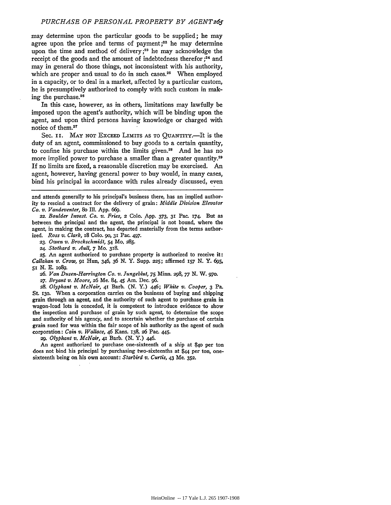may determine upon the particular goods to be supplied; he may agree upon the price and terms of payment **;22** he may determine upon the time and method of delivery **;23** he may acknowledge the receipt of the goods and the amount of indebtedness therefor **;24** and may in general do those things, not inconsistent with his authority, which are proper and usual to do in such cases.<sup>25</sup> When employed in a capacity, or to deal in a market, affected by a particular custom, he is presumptively authorized to comply with such custom in making the purchase.<sup>26</sup>

In this case, however, as in others, limitations may lawfully be imposed upon the agent's authority, which will be binding upon the agent, and upon third persons having knowledge or charged with notice of them.<sup>27</sup>

Sec. II. MAY NOT EXCEED LIMITS AS TO QUANTITY.-It is the duty of an agent, commissioned to buy goods to a certain quantity, to confine his purchase within the limits given.<sup>28</sup> And he has no more implied power to purchase a smaller than a greater quantity.<sup>29</sup> If no limits are fixed, a reasonable discretion may be exercised. An agent, however, having general power to buy would, in many cases, bind his principal in accordance with rules already discussed, even

and attends generally to his principal's business there, has an implied authority to rescind a contract for the delivery of grain: *Middle Division Elevator Co. v. Vandeventer, 8o* Ill. App. 669.

22. *Boulder Invest. Co. v. Fries,* 2 Colo. App. *373,* **31** Pac. 174. But as between the principal and the agent, the principal is not bound, where the agent, in making the contract, has departed materially from the terms authorized. *Ross v. Clark,* **I8 Colo.** 9o, 31 Pac. 497.

**23.** *Owen v. Brockschmidt,* 54 MO, **285.**

*24. Stothard v. Aull,* 7 MO. 318.

**25.** An agent authorized to purchase property is authorized to receive it: *Callahan v. Crow,* 91 Hun, 346, 36 N. Y. Supp. **225;** affirmed **157 N.** Y. 695, **51** N. E. io8g.

**26.** *Van Dusen-Harrington Co. v. Jungeblut,* **75** Minn. **298, 77 N.** W. **970.**

*27. Bryant v. Moore,* 26 Me. 84, 45 Am. Dec. *96.*

*28. Olyphant v. McNair,* 41 Barb. **(N.** Y.) 446; *White v. Cooper,* 3 *Pa.* St. **130.** When a corporation carries on the business of buying and shipping grain through an agent, and the authority of such agent to purchase grain in wagon-load lots is conceded, it is competent to introduce evidence -to show the inspection and purchase of grain **by** such agent, to determine the scope and authority of his agency, and to ascertain whether the purchase of certain grain sued for was within the fair scope of his authority as the agent of such corporation: *Cain v. Wallace,* 46 Kans. 138, 26 Pac. 445.

*29. Olyphant v. McNair,* **41** Barb. **(N.** Y.) 446.

An agent authorized to purchase one-sixteenth of a ship at **\$4o** per ton does not bind his principal **by** purchasing two-sixteenths at \$44 per ton, onesixteenth being on his own account: *Starbird v. Curtis, 43* Me. **352.**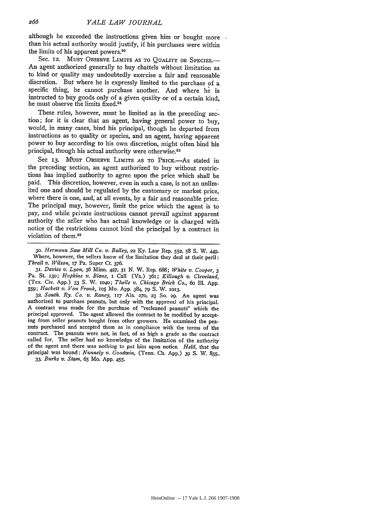although he exceeded the instructions given him or bought more. than his actual authority would justify, if his purchases were within the limits of his apparent powers.30

Sec. 12. MUST OBSERVE LIMITS AS TO QUALITY OR SPECIES. An agent authorized generally to buy chattels without limitation as to kind or quality may undoubtedly exercise a fair and reasonable discretion. But where he is expressly limited to the purchase of a specific thing, he cannot purchase another. And where he is instructed to buy goods only of a given quality or of a certain kind, he must observe the limits fixed. 3'

These rules, however, must be limited as in the preceding section; for it is clear that an agent, having general power to buy, would, in many cases, bind his principal, though he departed from instructions as to quality or species, and an agent, having apparent power to buy according to his own discretion, might often bind his principal, though his actual authority were otherwise.<sup>32</sup>

Sec 13. Musr OBSERVE LIMITS AS TO PRICE.-As stated in the preceding section, an agent authorized to buy without restrictions has implied authority to agree upon the price which shall be paid. This discretion, however, even in such a case, is not an unlimited one and should be regulated by the customary or market price, where there is one, and, at all events, by a fair and reasonable price. The principal may, however, limit the price which the agent is to pay, and while private instructions cannot prevail against apparent authority the seller who has actual knowledge or is charged with notice of the restrictions cannot bind the principal by a contract in violation of them.<sup>33</sup>

31. *Davies v. Lyon,* 36 Minn. 427, 31 N. W. Rep. 688; *White v. Cooper, 3* Pa. St. **13o;** *Hopkins v. Blane,* I Call (Va.) 361; *Killough v. Cleveland,* (Tex. Civ. App.) **33** S. W. 1O4O; *Theile v. Chicago Brick Co., 6o* Ill. App. 559; *Hackett v. Van Frank,* **105** Mo. App. 384, 79 **S.** W. **1013.**

*32. South. Ry. Co. v. Raney,* **117** Ala. **270, 23** So. 29. An agent was authorized to purchase peanuts, but only with the approval of his principal. A contract was made for the purchase of "recleaned peanuts" which the principal approved. The agent allowed the contract to be modified by accepting from seller peanuts bought from other growers. He examined the peanuts purchased and accepted them as in compliance with the terms of the contract The peanuts were not, in fact, of as high a grade as the contract called for. The seller had no knowledge of the limitation of the authority of the agent and there was nothing to put him upon notice. *Held,* that 'the principal was bound: *Nunnely v. Goodwin,* (Tenn. Ch. App.) **39 S.** W. **855-**

**33.** *Burks v. Stam,* **65** Mo. **App.** 455.

**<sup>30.</sup>** *Hermann Saw Mill Co. v. Bailey,* 22 Ky. Law Rep. **552,** 58 S. W. 449. Where, however, the sellers know of the limitation they deal at their peril: *Thrall v. Wilson,* **17** Pa. Super Ct. 376.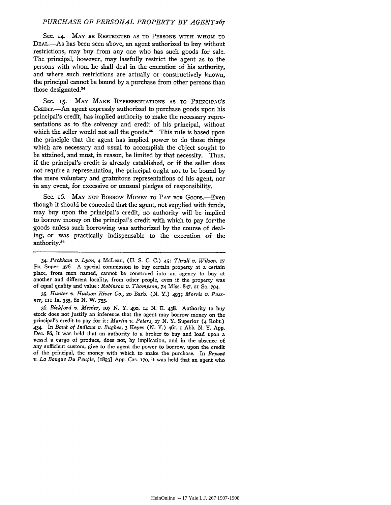Sec. 14. MAY BE RESTRICTED AS TO PERSONS WITH WHOM TO DEAL.—As has been seen above, an agent authorized to buy without restrictions, may buy from any one who has such goods for sale. The principal, however, may lawfully restrict the agent as to the persons with whom he shall deal in the execution of his authority, and where such restrictions are actually or constructively known, the principal cannot be bound by a purchase from other persons than those designated.<sup>34</sup>

Sec. 15. MAY MAKE REPRESENTATIONS AS TO PRINCIPAL'S CREDT.-An agent expressly authorized to purchase goods upon his principal's credit, has implied authority to make the necessary representations as to the solvency and credit of his principal, without which the seller would not sell the goods. $35$  This rule is based upon the principle that the agent has implied power to do those things which are necessary and usual to accomplish the object sought to be attained, and must, in reason, be limited by that necessity. Thus, if the principal's credit is already established, or if the seller does not require a representation, the principal ought not to be bound by the mere voluntary and gratuitous representations of his agent, nor in any event, for excessive or unusual pledges of responsibility.

Sec. 16. MAY NOT BORROW MONEY TO PAY FOR GOODS.-Even though it should be conceded that the agent, not supplied with funds, may buy upon the principal's credit, no authority will be implied to borrow money on the principal's credit with which to pay for-the goods unless such borrowing was authorized by the course of dealing, or was practically indispensable to the execution of the authority.<sup>36</sup>

35. *Hunter v. Hudson River Co., 2o* Barb. (N. Y.) 493; *Morris v. Possner,* **III** Ia. 335, **82 N.** W. 755.

36. *Bickford v. Menier, 107* N. Y. 490, 14 N. E. 438. Authority to buy stock does not justify an inference that the agent may borrow money on the principal's credit to pay for it: *Martin v. Peters, 27* N. Y. Superior (4 Robt.) 434. In *Bank of Indiana v. Bugbee,* 3 Keyes (N. Y.) 461, 1 Abb. N. Y. App. Dec. 86, it was held that an authority to a broker to buy and load upon a vessel a cargo of produce, does not, by implication, and in the absence of any sufficient custom, give to the agent the power to borrow, upon the credit of the principal, the money with which to make the purchase. In *Bryant v. La Banque Du Peuple,* [1893] App. Cas. **17o,** it was held that an agent who

*<sup>34.</sup> Peckham v. Lyon,* 4 McLean, (U. S. C. C.) 45; *Thrall v. Wilson, 17* Pa. Super. 376. A special commission to buy certain property at a certain place, from men named, cannot be construed into an agency to buy at another and different locality, from other people, even if the property was of equal quality and value: *Robinson v. Thompson,* 74 Miss. 847, **21** So. 794-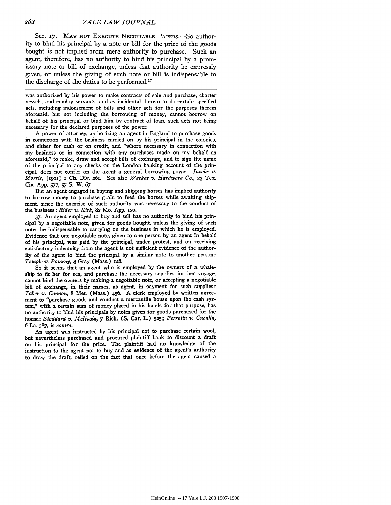## *YALE LAW JOURNAL*

Sec. 17. MAY NOT EXECUTE NEGOTIABLE PAPERS.<sup>-So</sup> authority to bind his principal by a note or bill for the price of the goods bought is not implied from mere authority to purchase. Such an agent, therefore, has no authority to bind his principal by a promissory note or bill of exchange, unless that authority be expressly given, or unless the giving of such note or bill is indispensable to the discharge of the duties to be performed.<sup>37</sup>

was authorized by his power to make contracts of sale and purchase, charter vessels, and employ servants, and as incidental thereto to do certain specified acts, including indorsement of bills and other acts for the purposes therein aforesaid, but not including the borrowing of money, cannot borrow on behalf of his principal or bind him by contract of loan, such acts not being necessary for the declared purposes of the power.

A power of attorney, authorizing an agent in England to purchase goods in connection with the business carried on by his principal in the colonies, and either for cash or on credit, and "where necessary in connection with my business or in connection with any purchases made on my behalf as aforesaid," to make, draw and accept bills of exchange, and to sign the name of the principal to any checks on the London banking account of the principal, does not confer on the agent a general borrowing power: *Jacobs v. Morris,* [i9oi] I Ch. Div. 26r. See also *Weekes v. Hardware Co.,* **23** Tex. Civ. App. *577, 57* S. W. **67.**

But an agent engaged in buying and shipping horses has implied authority to borrow money to purchase grain to feed the horses while awaiting shipment, since the exercise of such authority was necessary to the conduct of the business: *Rider v. Kirk,* 82 Mo. App. i2o.

**37.** An agent employed to buy and sell has no authority to bind his principal by a negotiable note, given for goods bought, unless the giving of such notes be indispensable to carrying on the business in which he is employed. Evidence that one negotiable note, given to one person **by** an agent in behalf of his principal, was paid **by** the principal, under protest, and on receiving satisfactory indemnity from the agent is not sufficient evidence of the authority of the agent to bind the principal **by** a similar note to another person: *Temple v. Pomroy,* 4 Gray (Mass.) 128.

So it seems that an agent who is employed **by** the owners of a whaleship to fit her for sea, and purchase the necessary supplies for her voyage, cannot bind the owners **by** making a negotiable note, or accepting a negotiable bill of exchange, in their names, as agent, in payment for such supplies: *Taber v. Cannon,* **8** Met. (Mass.) 456. **A** *clerk* employed **by** written agreement to "purchase goods and conduct a mercantile house upon the cash system," with a certain sum of money placed in his hands for that purpose, has no authority to bind his principals **by** notes given for goods purchased for the house: *Stoddard v. Mcllvain, 7* Rich. **(S.** Car. L.) **525;** *Perrotin v. Cucullu,* 6 La. **587,** is *contra.*

**An** agent was instructed **by** his principal not to purchase certain wool, but nevertheless purchased and procured plaintiff bank to discount a draft on his principal for the price. The plaintiff had no knowledge of the instruction to the agent not to buy and as evidence of the agent's authority to draw the draft, relied on the fact that once before the agent caused a

268